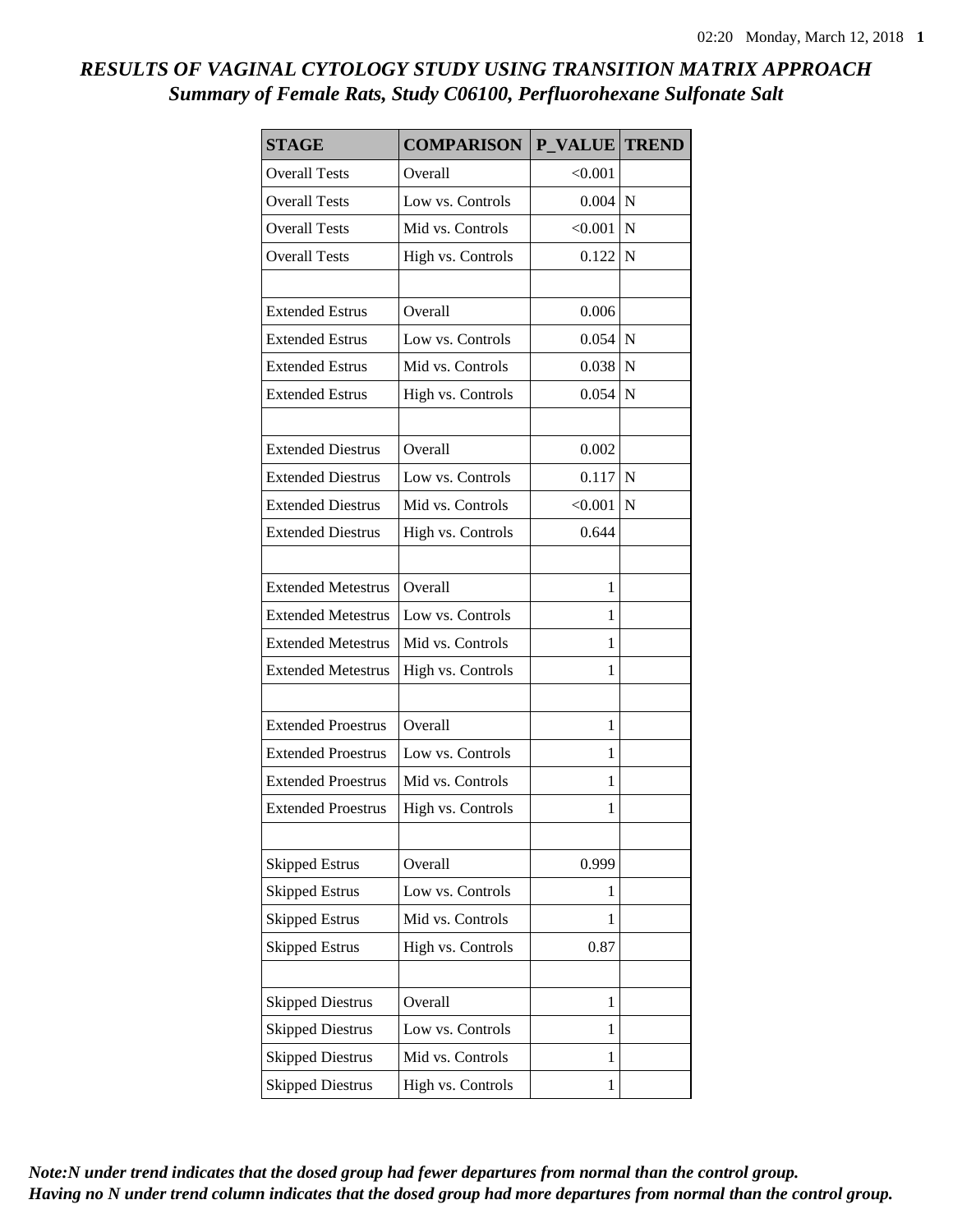## *RESULTS OF VAGINAL CYTOLOGY STUDY USING TRANSITION MATRIX APPROACH Summary of Female Rats, Study C06100, Perfluorohexane Sulfonate Salt*

| <b>STAGE</b>              | <b>COMPARISON</b> | P_VALUE   | <b>TREND</b> |
|---------------------------|-------------------|-----------|--------------|
| <b>Overall Tests</b>      | Overall           | < 0.001   |              |
| <b>Overall Tests</b>      | Low vs. Controls  | $0.004$ N |              |
| <b>Overall Tests</b>      | Mid vs. Controls  | < 0.001   | N            |
| <b>Overall Tests</b>      | High vs. Controls | 0.122     | ${\bf N}$    |
| <b>Extended Estrus</b>    | Overall           | 0.006     |              |
| <b>Extended Estrus</b>    | Low vs. Controls  | $0.054$ N |              |
| <b>Extended Estrus</b>    | Mid vs. Controls  | $0.038$ N |              |
| <b>Extended Estrus</b>    | High vs. Controls | 0.054     | $\mathbf N$  |
|                           |                   |           |              |
| <b>Extended Diestrus</b>  | Overall           | 0.002     |              |
| <b>Extended Diestrus</b>  | Low vs. Controls  | 0.117     | N            |
| <b>Extended Diestrus</b>  | Mid vs. Controls  | < 0.001   | $\mathbf N$  |
| <b>Extended Diestrus</b>  | High vs. Controls | 0.644     |              |
|                           |                   |           |              |
| <b>Extended Metestrus</b> | Overall           | 1         |              |
| <b>Extended Metestrus</b> | Low vs. Controls  | 1         |              |
| <b>Extended Metestrus</b> | Mid vs. Controls  | 1         |              |
| <b>Extended Metestrus</b> | High vs. Controls | 1         |              |
|                           |                   |           |              |
| <b>Extended Proestrus</b> | Overall           | 1         |              |
| <b>Extended Proestrus</b> | Low vs. Controls  | 1         |              |
| <b>Extended Proestrus</b> | Mid vs. Controls  | 1         |              |
| <b>Extended Proestrus</b> | High vs. Controls | 1         |              |
|                           |                   |           |              |
| <b>Skipped Estrus</b>     | Overall           | 0.999     |              |
| <b>Skipped Estrus</b>     | Low vs. Controls  | 1         |              |
| <b>Skipped Estrus</b>     | Mid vs. Controls  | 1         |              |
| <b>Skipped Estrus</b>     | High vs. Controls | 0.87      |              |
|                           |                   |           |              |
| <b>Skipped Diestrus</b>   | Overall           | 1         |              |
| <b>Skipped Diestrus</b>   | Low vs. Controls  | 1         |              |
| <b>Skipped Diestrus</b>   | Mid vs. Controls  | 1         |              |
| <b>Skipped Diestrus</b>   | High vs. Controls | 1         |              |